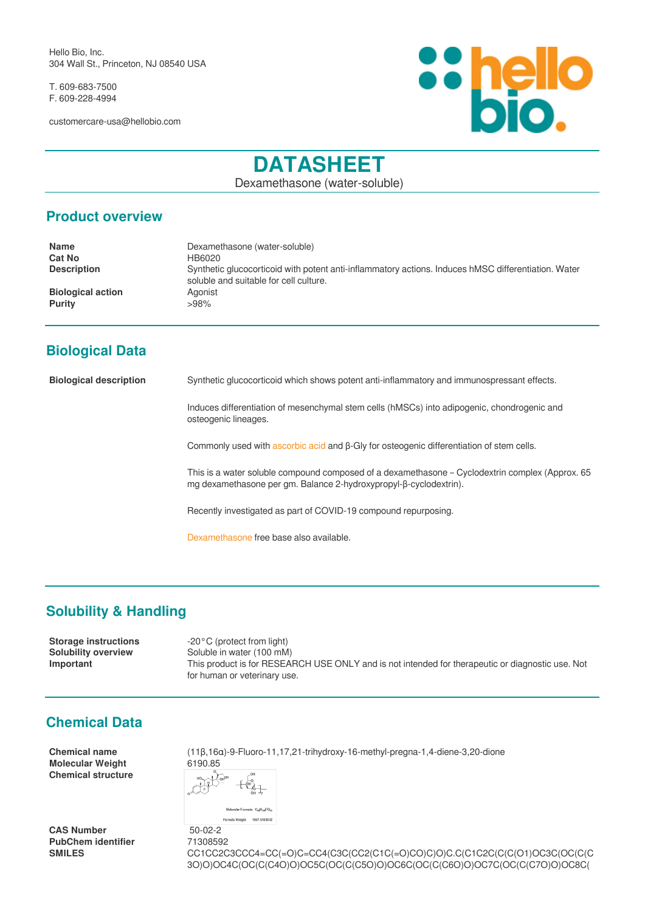Hello Bio, Inc. 304 Wall St., Princeton, NJ 08540 USA

T. 609-683-7500 F. 609-228-4994

customercare-usa@hellobio.com



# **DATASHEET**

Dexamethasone (water-soluble)

#### **Product overview**

| <b>Name</b>                               | Dexamethasone (water-soluble)                                                                                                                 |
|-------------------------------------------|-----------------------------------------------------------------------------------------------------------------------------------------------|
| <b>Cat No</b>                             | HB6020                                                                                                                                        |
| <b>Description</b>                        | Synthetic glucocorticoid with potent anti-inflammatory actions. Induces hMSC differentiation. Water<br>soluble and suitable for cell culture. |
| <b>Biological action</b><br><b>Purity</b> | Agonist<br>>98%                                                                                                                               |

## **Biological Data**

**Biological description** Synthetic glucocorticoid which shows potent anti-inflammatory and immunospressant effects.

Induces differentiation of mesenchymal stem cells (hMSCs) into adipogenic, chondrogenic and osteogenic lineages.

Commonly used with [ascorbic acid](https://hellobio.com/l-ascorbic-acid.html) and β-Gly for osteogenic differentiation of stem cells.

This is a water soluble compound composed of a dexamethasone – Cyclodextrin complex (Approx. 65 mg dexamethasone per gm. Balance 2-hydroxypropyl-β-cyclodextrin).

Recently investigated as part of COVID-19 compound repurposing.

[Dexamethasone](https://hellobio.com/dexamethasone.html) free base also available.

# **Solubility & Handling**

**Storage instructions** -20°C (protect from light) **Solubility overview** Soluble in water (100 mM) **Important** This product is for RESEARCH USE ONLY and is not intended for therapeutic or diagnostic use. Not for human or veterinary use.

### **Chemical Data**

**Molecular Weight Chemical structure**

**CAS Number** 50-02-2 **PubChem identifier** 71308592

**Chemical name** (11β,16α)-9-Fluoro-11,17,21-trihydroxy-16-methyl-pregna-1,4-diene-3,20-dione<br>
Molecular Weight<br>
6190.85

 $\overbrace{\begin{smallmatrix} \mathbb{C}^{\mathsf{u}} \\ \mathbb{C}^{\mathsf{u}} \end{smallmatrix}}^{\mathbb{C}^{\mathsf{u}}}$ Molecular Formula: CuH.LFO. eight: 1557.514303

**SMILES** CC1CC2C3CCC4=CC(=O)C=CC4(C3C(CC2(C1C(=O)CO)C)O)C.C(C1C2C(C(C(O1)OC3C(OC(C(C 3O)O)OC4C(OC(C(C4O)O)OC5C(OC(C(C5O)O)OC6C(OC(C(C6O)O)OC7C(OC(C(C7O)O)OC8C(